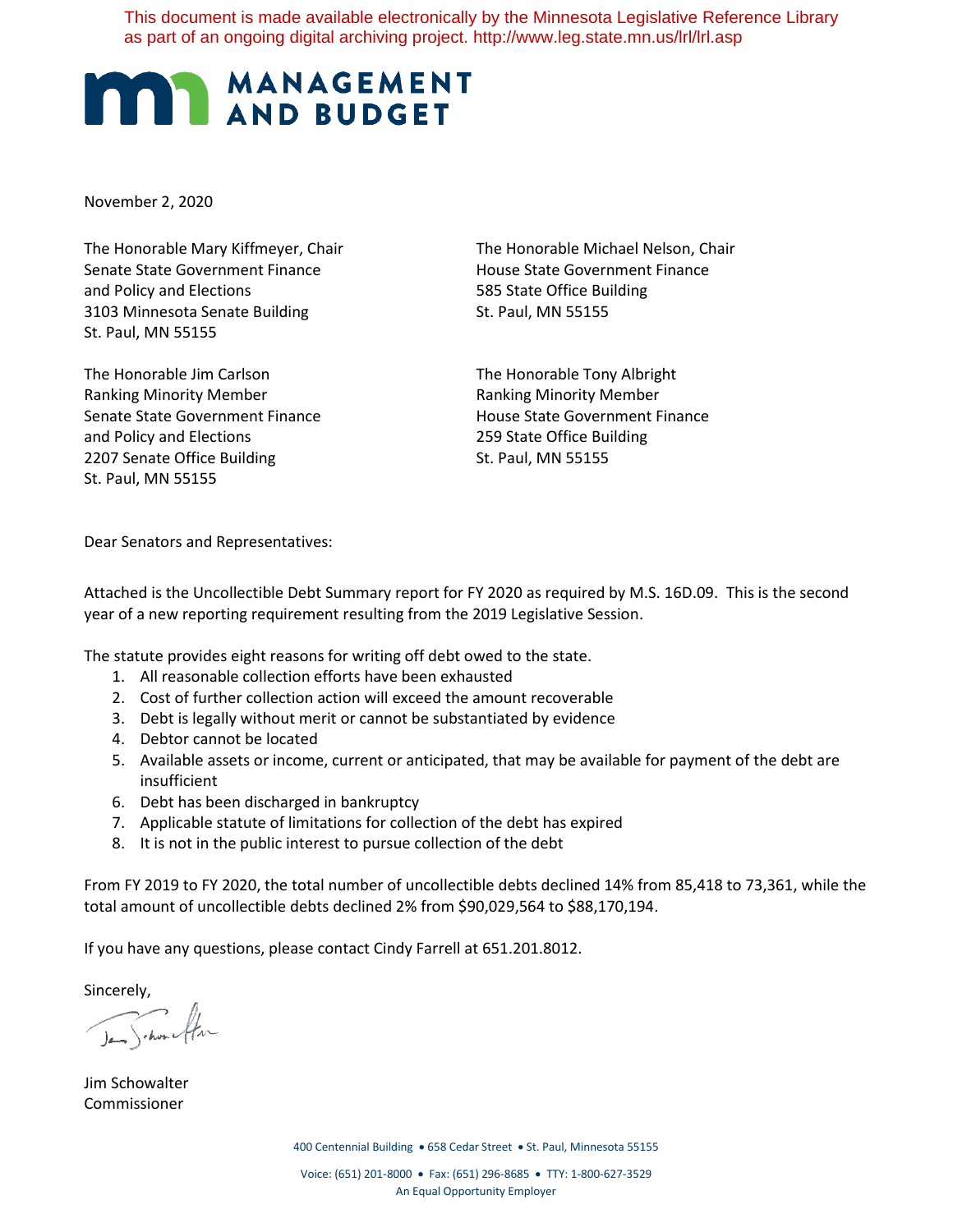This document is made available electronically by the Minnesota Legislative Reference Library as part of an ongoing digital archiving project. http://www.leg.state.mn.us/lrl/lrl.asp

## **MANAGEMENT**

November 2, 2020

The Honorable Mary Kiffmeyer, Chair The Honorable Michael Nelson, Chair Senate State Government Finance The House State Government Finance and Policy and Elections 685 State Office Building 3103 Minnesota Senate Building St. Paul, MN 55155 St. Paul, MN 55155

The Honorable Jim Carlson The Honorable Tony Albright Ranking Minority Member **Ranking Minority Member** Ranking Minority Member Senate State Government Finance The House State Government Finance and Policy and Elections 259 State Office Building 2207 Senate Office Building St. Paul, MN 55155 St. Paul, MN 55155

Dear Senators and Representatives:

Attached is the Uncollectible Debt Summary report for FY 2020 as required by M.S. 16D.09. This is the second year of a new reporting requirement resulting from the 2019 Legislative Session.

The statute provides eight reasons for writing off debt owed to the state.

- 1. All reasonable collection efforts have been exhausted
- 2. Cost of further collection action will exceed the amount recoverable
- 3. Debt is legally without merit or cannot be substantiated by evidence
- 4. Debtor cannot be located
- 5. Available assets or income, current or anticipated, that may be available for payment of the debt are insufficient
- 6. Debt has been discharged in bankruptcy
- 7. Applicable statute of limitations for collection of the debt has expired
- 8. It is not in the public interest to pursue collection of the debt

From FY 2019 to FY 2020, the total number of uncollectible debts declined 14% from 85,418 to 73,361, while the total amount of uncollectible debts declined 2% from \$90,029,564 to \$88,170,194.

If you have any questions, please contact Cindy Farrell at 651.201.8012.

Sincerely,

Jan Schone flow

Jim Schowalter Commissioner

400 Centennial Building • 658 Cedar Street • St. Paul, Minnesota 55155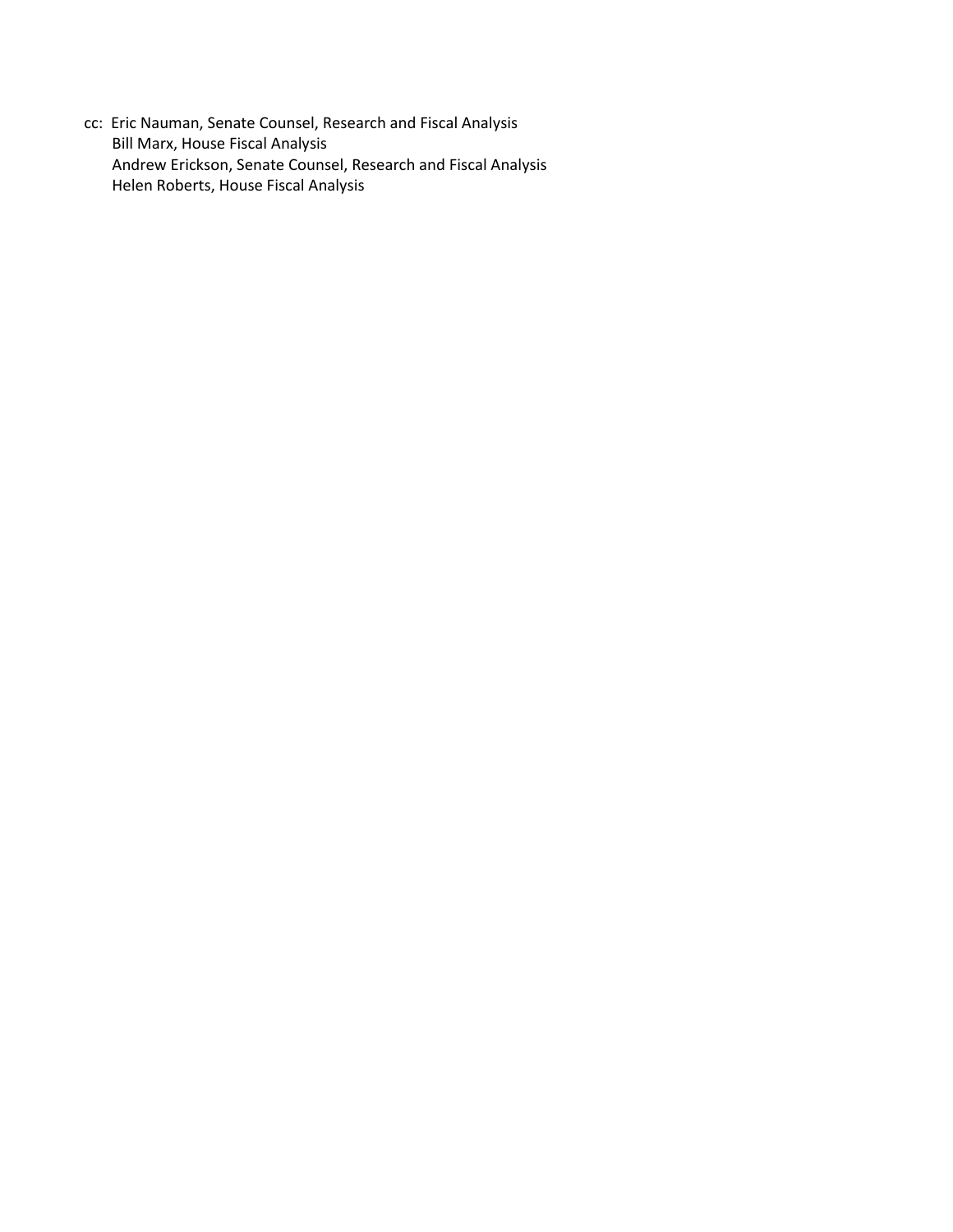cc: Eric Nauman, Senate Counsel, Research and Fiscal Analysis Bill Marx, House Fiscal Analysis Andrew Erickson, Senate Counsel, Research and Fiscal Analysis Helen Roberts, House Fiscal Analysis